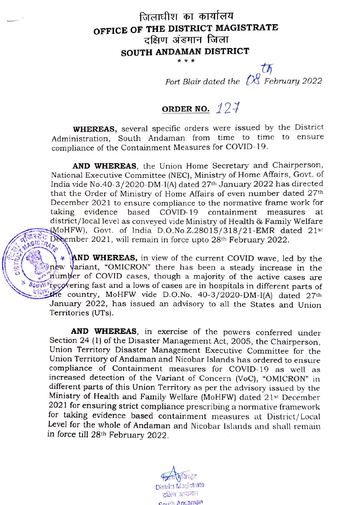## जिलाधीश का कार्यालय OFFICE OF THE DISTRICT MAGISTRATE SOUTH ANDAMAN DISTRICT \*\*\*

th Port Blair dated the  $\oslash$  February 2022

## ORDER NO.  $127$

WHEREAS, several specific orders were issued by the District Administration, South Andaman from time to time to ensure compliance of the Containment Measures for COVID-19.

AND WHEREAS, the Union Home Secretary and Chairperson, National Executive Committee (NEC), Ministry of Home Affairs, Govt. of India vide No.40-3/2020-DM-I(A) dated 27th January 2022 has directed that the Order of Ministry of Home Affairs of even number dated 27<sup>th</sup> December 2021 to ensure compliance to the normative frame work for taking evidence district/local level as conveyed vide Ministry of Health & Family Welfare MoHFW), Govt. of India D.O.No.Z.28015/318/21-EMR dated 21st December 2021, will remain in force upto 28<sup>th</sup> February 2022. based COVID-19 containment measures at GISTRATA

**AND WHEREAS,** in view of the current COVID wave, led by the new variant, "OMICRON" there has been a steady increase in the number of COVID cases, though a majority of the active cases are **CUTH Tecovering fast and a lows of cases are in hospitals in different parts of** ecountry, MoHFW vide D.O.No. 40-3/2020-DM-I(A) dated 27th January 2022, has issued an advisory to all the States and Union Territories (UTs).

AND WHEREAS, in exercise of the powers conferred under Section 24 (1) of the Disaster Management Act, 2005, the Chairperson, Union Territory Disaster Management Executive Committee for the Union Territory of Andaman and Nicobar Islands has ordered to ensure compliance of Containment measures for COVID-19 as well as increased detection of the Variant of Concern (VoC), "OMICRON" in different parts of this Union Territory as per the advisory issued by the Ministry of Health and Family Welfare (MoHFW) dated 21st December 2021 for ensuring strict compliance prescribing a normative framework for taking evidence based containment measures at District/Local Level for the whole of Andaman and Nicobar Islands and shall remain in force till 28th February 2022.

District Magistrate<br>दक्षिण अण्डमान Couth Anciaman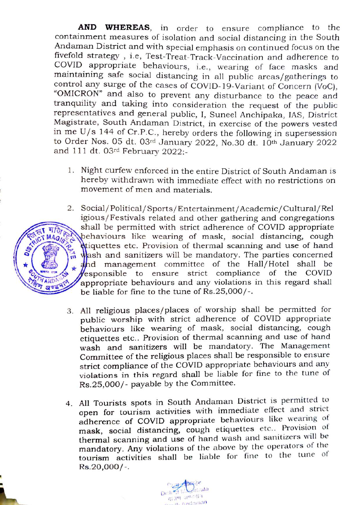containment measures of isolation and social distancing in the South Andaman District and with special emphasis on continued focus on the fivefold strategy , i.e, Test-Treat-Track-Vaccination and adherence to COVID appropriate behaviours, i.e., wearing of face masks and maintaining safe social distancing in all public areas/gatherings to control any surge of the cases of COVID-19-Variant of Concern (VoC), "OMICRON" and also to prevent any disturbance to the peace and tranquility and taking into consideration the request of the public AND WHEREAS, in order to ensure compliance to the representatives and general public, 1, Suneel Anchipaka, IAs, District Magistrate, South Andaman District, in exercise of the powers vested to Order Nos. 05 dt. 03rd January 2022, No.30 dt. 10th January 2022 and 111 dt. 03rd February 2022:-

- 1. Night curfew enforced in the entire District of South Andaman is hereby withdrawn with immediate effect with no restrictions on movement of men and materials.
- 2 Social/Political/ Sports/Entertainment/Academic/Cultural/Rel igious/Festivals related and other gathering and congregations shall be permitted with strict adherence of COVID appropriate behaviours like wearing of mask, social distancing, cough **d**iquettes etc. Provision of thermal scanning and use of hand wash and sanitizers will be mandatory. The parties concerned wash and saintizers will be mandatory. The parties concerned<br>and management committee of the Hall/Hotel shall be RGIST WAGIST Deha esponsible to ensure strict compliance of the COVID appropriate behaviours and any violations in this regard shall be liable for fine to the tune of Rs.25,000/-.
	- 3. All religious places/places of worship shall be permitted for public worship with strict adherence of COVID appropriate behaviours like wearing of mask, social distancing, cough etiquettes etc.. Provision of thermal scanning and use of hand wash and sanitizers will be mandatory. The Management Committee of the religious places shall be responsible to ensure strict compliance of the COVID appropriate behaviours and any violations in this regard shall be liable for fine to the tune of Rs.25,000/- payable by the Committee.
	- 4. All Tourists spots in South Andaman District is permitted to open for tourism activities with immediate effect and strict adherence of COVID appropriate behaviours like wearing of mask, social distancing, cough etiquettes etc.. Provision of thermal scanning and use of hand wash and sanitizers will be mandatory. Any violations of the above by the operators of the tourism activities shall be liable for fine to the tune of  $Rs.20,000/-$ .



N AND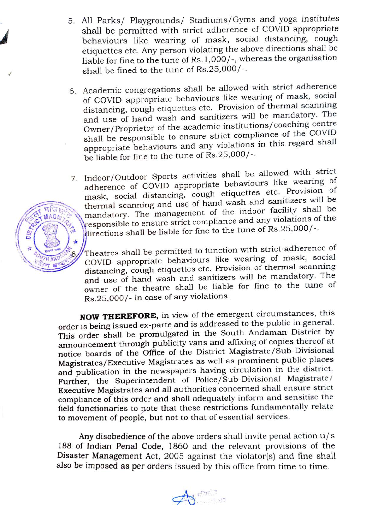- 5. All Parks/ Playgrounds/ Stadiums/Gyms and yoga institutes shall be permitted with strict adherence of COVID appropriate behaviours like wearing of mask, social distancing, cough etiquettes etc. Any person violating the above directions shall be liable for fine to the tune of Rs. 1,000/-, whereas the organisation shall be fined to the tune of Rs.25,000/-.
- 6. Academic congregations shall be allowed with strict adherence of COVID appropriate behaviours like wearing of mask, social distancing, cough etiquettes etc. Provision of thermal scanning and use of hand wash and sanitizers will be mandatory. The Owner/Proprietor of the academic institutions/coaching centre shall be responsible to ensure strict compliance of the COVID appropriate behaviours and any violations in this regard shall be liable for fine to the tune of Rs.25,000/-.
- 7. Indoor/Outdoor Sports activities shall be allowed with strict adherence of COVID appropriate behaviours like wearing of mask, social distancing, cough etiquettes etc. Provision of thermal scanning and use of hand wash and sanitizers will be mandatory. The management of the indoor facility shall be responsible to ensure strict compliance and any violations of the directions shall be liable for fine to the tune of Rs.25,000/-.

Theatres shall be permitted to function with strict adherence of COVID appropriate behaviours like wearing of mask, social distancing, cough etiquettes etc. Provision of thermal scanning and use of hand wash and sanitizers will be mandatory. The owner of the theatre shall be liable for fine to the tune of Rs.25,000/- in case of any violations.

NOW THEREFORE, in view of the emergent circumstances, this order is being issued ex-parte and is addressed to the public in general. This order shall be promulgated in the South Andaman District by announcement through publicity vans and affixing of copies thereof at notice boards of the Office of the District Magistrate/Sub-Divisional Magistrates/Executive Magistrates as well as prominent public places and publication in the newspapers having circulation in the district. Further, the Superintendent of Police/Sub-Divisional Magistrate/ Executive Magistrates and all authorities concerned shall ensure strict compliance of this order and shall adequately inform and sensitize the field functionaries to note that these restrictions fundamentally relate to movement of people, but not to that of essential services.

Any disobedience of the above orders shall invite penal action  $u/s$ 188 of Indian Penal Code, 1860 and the relevant provisions of the Disaster Management Act, 2005 against the violator(s) and fine shall also be imposed as per orders issued by this office from time to time.